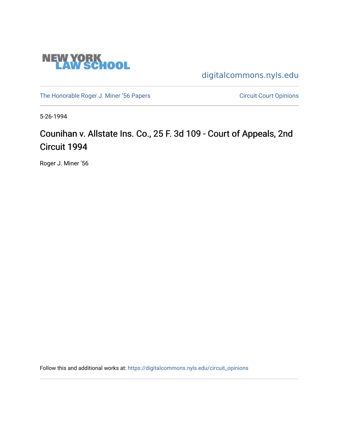

[digitalcommons.nyls.edu](https://digitalcommons.nyls.edu/) 

[The Honorable Roger J. Miner '56 Papers](https://digitalcommons.nyls.edu/miner_papers) Circuit Court Opinions

5-26-1994

# Counihan v. Allstate Ins. Co., 25 F. 3d 109 - Court of Appeals, 2nd Circuit 1994

Roger J. Miner '56

Follow this and additional works at: [https://digitalcommons.nyls.edu/circuit\\_opinions](https://digitalcommons.nyls.edu/circuit_opinions?utm_source=digitalcommons.nyls.edu%2Fcircuit_opinions%2F401&utm_medium=PDF&utm_campaign=PDFCoverPages)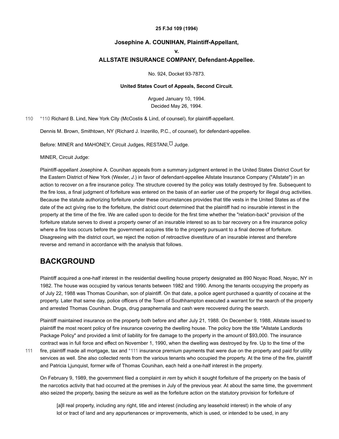#### **25 F.3d 109 (1994)**

### **Josephine A. COUNIHAN, Plaintiff-Appellant,**

#### **v.**

### **ALLSTATE INSURANCE COMPANY, Defendant-Appellee.**

No. 924, Docket 93-7873.

#### **United States Court of Appeals, Second Circuit.**

<span id="page-1-2"></span>Argued January 10, 1994. Decided May 26, 1994.

[110](#page-1-0) [\\*110](#page-1-0) Richard B. Lind, New York City (McCostis & Lind, of counsel), for plaintiff-appellant.

<span id="page-1-0"></span>Dennis M. Brown, Smithtown, NY (Richard J. Inzerillo, P.C., of counsel), for defendant-appellee.

Before: MINER and MAHONEY, Circuit Judges, RESTANI, [1] Judge.

MINER, Circuit Judge:

Plaintiff-appellant Josephine A. Counihan appeals from a summary judgment entered in the United States District Court for the Eastern District of New York (Wexler, *J.*) in favor of defendant-appellee Allstate Insurance Company ("Allstate") in an action to recover on a fire insurance policy. The structure covered by the policy was totally destroyed by fire. Subsequent to the fire loss, a final judgment of forfeiture was entered on the basis of an earlier use of the property for illegal drug activities. Because the statute authorizing forfeiture under these circumstances provides that title vests in the United States as of the date of the act giving rise to the forfeiture, the district court determined that the plaintiff had no insurable interest in the property at the time of the fire. We are called upon to decide for the first time whether the "relation-back" provision of the forfeiture statute serves to divest a property owner of an insurable interest so as to bar recovery on a fire insurance policy where a fire loss occurs before the government acquires title to the property pursuant to a final decree of forfeiture. Disagreeing with the district court, we reject the notion of retroactive divestiture of an insurable interest and therefore reverse and remand in accordance with the analysis that follows.

### **BACKGROUND**

Plaintiff acquired a one-half interest in the residential dwelling house property designated as 890 Noyac Road, Noyac, NY in 1982. The house was occupied by various tenants between 1982 and 1990. Among the tenants occupying the property as of July 22, 1988 was Thomas Counihan, son of plaintiff. On that date, a police agent purchased a quantity of cocaine at the property. Later that same day, police officers of the Town of Southhampton executed a warrant for the search of the property and arrested Thomas Counihan. Drugs, drug paraphernalia and cash were recovered during the search.

Plaintiff maintained insurance on the property both before and after July 21, 1988. On December 9, 1988, Allstate issued to plaintiff the most recent policy of fire insurance covering the dwelling house. The policy bore the title "Allstate Landlords Package Policy" and provided a limit of liability for fire damage to the property in the amount of \$93,000. The insurance contract was in full force and effect on November 1, 1990, when the dwelling was destroyed by fire. Up to the time of the fire, plaintiff made all mortgage, tax and [\\*111](#page-1-1) insurance premium payments that were due on the property and paid for utility services as well. She also collected rents from the various tenants who occupied the property. At the time of the fire, plaintiff and Patricia Ljunquist, former wife of Thomas Counihan, each held a one-half interest in the property.

On February 9, 1989, the government filed a complaint *in rem* by which it sought forfeiture of the property on the basis of the narcotics activity that had occurred at the premises in July of the previous year. At about the same time, the government also seized the property, basing the seizure as well as the forfeiture action on the statutory provision for forfeiture of

<span id="page-1-1"></span>[a]ll real property, including any right, title and interest (including any leasehold interest) in the whole of any lot or tract of land and any appurtenances or improvements, which is used, or intended to be used, in any

[111](#page-1-1)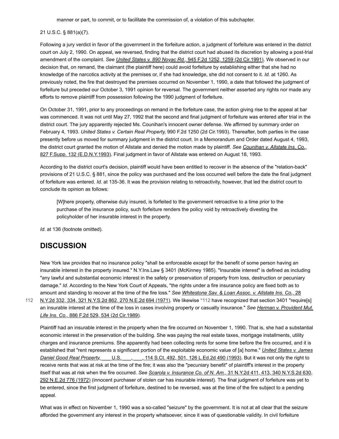manner or part, to commit, or to facilitate the commission of, a violation of this subchapter.

### 21 U.S.C. § 881(a)(7).

Following a jury verdict in favor of the government in the forfeiture action, a judgment of forfeiture was entered in the district court on July 2, 1990. On appeal, we reversed, finding that the district court had abused its discretion by allowing a post-trial amendment of the complaint. *See United States v. 890 Noyac Rd.,* [945 F.2d 1252, 1259 \(2d Cir.1991\)](https://scholar.google.com/scholar_case?about=15092115191944881350&q=93-7873&hl=en&as_sdt=6,31). We observed in our decision that, on remand, the claimant (the plaintiff here) could avoid forfeiture by establishing either that she had no knowledge of the narcotics activity at the premises or, if she had knowledge, she did not consent to it. *Id.* at 1260. As previously noted, the fire that destroyed the premises occurred on November 1, 1990, a date that followed the judgment of forfeiture but preceded our October 3, 1991 opinion for reversal. The government neither asserted any rights nor made any efforts to remove plaintiff from possession following the 1990 judgment of forfeiture.

On October 31, 1991, prior to any proceedings on remand in the forfeiture case, the action giving rise to the appeal at bar was commenced. It was not until May 27, 1992 that the second and final judgment of forfeiture was entered after trial in the district court. The jury apparently rejected Ms. Counihan's innocent owner defense. We affirmed by summary order on February 4, 1993. *United States v. Certain Real Property,* 990 F.2d 1250 (2d Cir.1993). Thereafter, both parties in the case presently before us moved for summary judgment in the district court. In a Memorandum and Order dated August 4, 1993, the district court granted the motion of Allstate and denied the motion made by plaintiff. *See Counihan v. Allstate Ins. Co.,* [827 F.Supp. 132 \(E.D.N.Y.1993\). Final judgment in favor of Allstate was entered on August 18, 1993.](https://scholar.google.com/scholar_case?case=4916482050544061491&q=93-7873&hl=en&as_sdt=6,31)

According to the district court's decision, plaintiff would have been entitled to recover in the absence of the "relation-back" provisions of 21 U.S.C. § 881, since the policy was purchased and the loss occurred well before the date the final judgment of forfeiture was entered. *Id.* at 135-36. It was the provision relating to retroactivity, however, that led the district court to conclude its opinion as follows:

[W]here property, otherwise duly insured, is forfeited to the government retroactive to a time prior to the purchase of the insurance policy, such forfeiture renders the policy void by retroactively divesting the policyholder of her insurable interest in the property.

*Id.* at 136 (footnote omitted).

## **DISCUSSION**

[112](#page-2-0)

New York law provides that no insurance policy "shall be enforceable except for the benefit of some person having an insurable interest in the property insured." N.Y.Ins.Law § 3401 (McKinney 1985). "Insurable interest" is defined as including "any lawful and substantial economic interest in the safety or preservation of property from loss, destruction or pecuniary damage." *Id.* According to the New York Court of Appeals, "the rights under a fire insurance policy are fixed both as to amount and standing to recover at the time of the fire loss." *See Whitestone Sav. & Loan Assoc. v. Allstate Ins. Co.,* 28 [N.Y.2d 332, 334, 321 N.Y.S.2d 862, 270 N.E.2d 694 \(1971\). We likewise \\*112 have recognized that section 3401 "requi](https://scholar.google.com/scholar_case?case=12707127927883165697&q=93-7873&hl=en&as_sdt=6,31)re[s] [an insurable interest at the time of the loss in cases involving property or casualty insurance."](https://scholar.google.com/scholar_case?case=9388509840567109243&q=93-7873&hl=en&as_sdt=6,31) See Herman v. Provident Mut.

<span id="page-2-0"></span>*Life Ins. Co.,* 886 F.2d 529, 534 (2d Cir.1989).

Plaintiff had an insurable interest in the property when the fire occurred on November 1, 1990. That is, she had a substantial economic interest in the preservation of the building. She was paying the real estate taxes, mortgage installments, utility charges and insurance premiums. She apparently had been collecting rents for some time before the fire occurred, and it is [established that "rent represents a significant portion of the exploitable economic value of \[a\] home."](https://scholar.google.com/scholar_case?case=5273937115017002001&q=93-7873&hl=en&as_sdt=6,31) *United States v. James Daniel Good Real Property, U.S. \_\_, \_\_\_, 114 S.Ct. 492, 501, 126 L.Ed.2d 490 (1993). But it was not only the right to* receive rents that was at risk at the time of the fire; it was also the "pecuniary benefit" of plaintiff's interest in the property itself that was at risk when the fire occurred. *See Scarola v. Insurance Co. of N. Am.,* 31 N.Y.2d 411, 413, 340 N.Y.S.2d 630, [292 N.E.2d 776 \(1972\) \(innocent purchaser of stolen car has insurable interest\). The final judgment of forfeiture was yet to](https://scholar.google.com/scholar_case?case=4364688000721981346&q=93-7873&hl=en&as_sdt=6,31) be entered, since the first judgment of forfeiture, destined to be reversed, was at the time of the fire subject to a pending appeal.

What was in effect on November 1, 1990 was a so-called "seizure" by the government. It is not at all clear that the seizure afforded the government any interest in the property whatsoever, since it was of questionable validity. In civil forfeiture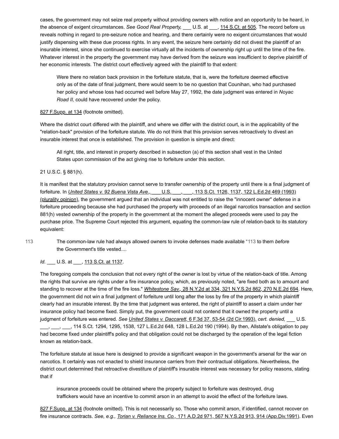cases, the government may not seize real property without providing owners with notice and an opportunity to be heard, in the absence of exigent circumstances. *See Good Real Property,* \_\_\_ U.S. at \_\_\_, [114 S.Ct. at 505.](https://scholar.google.com/scholar_case?case=5273937115017002001&q=93-7873&hl=en&as_sdt=6,31) The record before us reveals nothing in regard to pre-seizure notice and hearing, and there certainly were no exigent circumstances that would justify dispensing with these due process rights. In any event, the seizure here certainly did not divest the plaintiff of an insurable interest, since she continued to exercise virtually all the incidents of ownership right up until the time of the fire. Whatever interest in the property the government may have derived from the seizure was insufficient to deprive plaintiff of her economic interests. The district court effectively agreed with the plaintiff to that extent:

Were there no relation back provision in the forfeiture statute, that is, were the forfeiture deemed effective only as of the date of final judgment, there would seem to be no question that Counihan, who had purchased her policy and whose loss had occurred well before May 27, 1992, the date judgment was entered in *Noyac Road II,* could have recovered under the policy.

### [827 F.Supp. at 134](https://scholar.google.com/scholar_case?case=4916482050544061491&q=93-7873&hl=en&as_sdt=6,31) (footnote omitted).

Where the district court differed with the plaintiff, and where we differ with the district court, is in the applicability of the "relation-back" provision of the forfeiture statute. We do not think that this provision serves retroactively to divest an insurable interest that once is established. The provision in question is simple and direct:

All right, title, and interest in property described in subsection (a) of this section shall vest in the United States upon commission of the act giving rise to forfeiture under this section.

21 U.S.C. § 881(h).

It is manifest that the statutory provision cannot serve to transfer ownership of the property until there is a final judgment of forfeiture. In *United States v. 92 Buena Vista Ave.,* \_\_\_ U.S. \_\_\_, \_\_\_, 113 S.Ct. 1126, 1137, 122 L.Ed.2d 469 (1993) [\(plurality opinion\), the government argued that an individual was not entitled to raise the "innocent owner" defense in](https://scholar.google.com/scholar_case?case=13132371997535123478&q=93-7873&hl=en&as_sdt=6,31) a forfeiture proceeding because she had purchased the property with proceeds of an illegal narcotics transaction and section 881(h) vested ownership of the property in the government at the moment the alleged proceeds were used to pay the purchase price. The Supreme Court rejected this argument, equating the common-law rule of relation-back to its statutory equivalent:

[113](#page-3-0)

<span id="page-3-0"></span>The common-law rule had always allowed owners to invoke defenses made available [\\*113](#page-3-0) to them *before* the Government's title vested....

*Id.* \_\_\_ U.S. at \_\_\_, <u>[113 S.Ct. at 1137](https://scholar.google.com/scholar_case?case=13132371997535123478&q=93-7873&hl=en&as_sdt=6,31)</u>.

The foregoing compels the conclusion that not every right of the owner is lost by virtue of the relation-back of title. Among the rights that survive are rights under a fire insurance policy, which, as previously noted, "are fixed both as to amount and standing to recover at the time of the fire loss." *Whitestone Sav.,* [28 N.Y.2d at 334, 321 N.Y.S.2d 862, 270 N.E.2d 694.](https://scholar.google.com/scholar_case?case=12707127927883165697&q=93-7873&hl=en&as_sdt=6,31) Here, the government did not win a final judgment of forfeiture until long after the loss by fire of the property in which plaintiff clearly had an insurable interest. By the time that judgment was entered, the right of plaintiff to assert a claim under her insurance policy had become fixed. Simply put, the government could not contend that it owned the property until a judgment of forfeiture was entered. *See United States v. Daccarett,* [6 F.3d 37, 53-54 \(2d Cir.1993\),](https://scholar.google.com/scholar_case?case=1165607119305948543&q=93-7873&hl=en&as_sdt=6,31) *cert. denied,* \_\_\_ U.S. \_\_, \_\_\_, 114 S.Ct. 1294, 1295, 1538, 127 L.Ed.2d 648, 128 L.Ed.2d 190 (1994). By then, Allstate's obligation to pay had become fixed under plaintiff's policy and that obligation could not be discharged by the operation of the legal fiction known as relation-back.

The forfeiture statute at issue here is designed to provide a significant weapon in the government's arsenal for the war on narcotics. It certainly was not enacted to shield insurance carriers from their contractual obligations. Nevertheless, the district court determined that retroactive divestiture of plaintiff's insurable interest was necessary for policy reasons, stating that if

insurance proceeds could be obtained where the property subject to forfeiture was destroyed, drug traffickers would have an incentive to commit arson in an attempt to avoid the effect of the forfeiture laws.

[827 F.Supp. at 134](https://scholar.google.com/scholar_case?case=4916482050544061491&q=93-7873&hl=en&as_sdt=6,31) (footnote omitted). This is not necessarily so. Those who commit arson, if identified, cannot recover on fire insurance contracts. *See, e.g., Torian v. Reliance Ins. Co.,* [171 A.D.2d 971, 567 N.Y.S.2d 913, 914 \(App.Div.1991\)](https://scholar.google.com/scholar_case?case=12173861914347415645&q=93-7873&hl=en&as_sdt=6,31). Even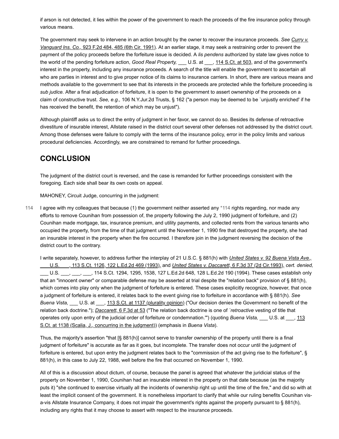if arson is not detected, it lies within the power of the government to reach the proceeds of the fire insurance policy through various means.

[The government may seek to intervene in an action brought by the owner to recover the insurance proceeds.](https://scholar.google.com/scholar_case?case=12117178729345426724&q=93-7873&hl=en&as_sdt=6,31) *See Curry v. Vanguard Ins. Co.,* 923 F.2d 484, 485 (6th Cir. 1991). At an earlier stage, it may seek a restraining order to prevent the payment of the policy proceeds before the forfeiture issue is decided. A *lis pendens* authorized by state law gives notice to the world of the pending forfeiture action, *Good Real Property*, U.S. at  $\frac{114 \text{ S.C.t. at } 503}{114 \text{ S.C.t. at } 503}$  and of the government's interest in the property, including any insurance proceeds. A search of the title will enable the government to ascertain all who are parties in interest and to give proper notice of its claims to insurance carriers. In short, there are various means and methods available to the government to see that its interests in the proceeds are protected while the forfeiture proceeding is *sub judice.* After a final adjudication of forfeiture, it is open to the government to assert ownership of the proceeds on a claim of constructive trust. *See, e.g.,* 106 N.Y.Jur.2d Trusts, § 162 ("a person may be deemed to be `unjustly enriched' if he has received the benefit, the retention of which may be unjust").

Although plaintiff asks us to direct the entry of judgment in her favor, we cannot do so. Besides its defense of retroactive divestiture of insurable interest, Allstate raised in the district court several other defenses not addressed by the district court. Among those defenses were failure to comply with the terms of the insurance policy, error in the policy limits and various procedural deficiencies. Accordingly, we are constrained to remand for further proceedings.

### **CONCLUSION**

The judgment of the district court is reversed, and the case is remanded for further proceedings consistent with the foregoing. Each side shall bear its own costs on appeal.

<span id="page-4-0"></span>MAHONEY, Circuit Judge, concurring in the judgment:

I agree with my colleagues that because (1) the government neither asserted any [\\*114](#page-4-0) rights regarding, nor made any efforts to remove Counihan from possession of, the property following the July 2, 1990 judgment of forfeiture, and (2) Counihan made mortgage, tax, insurance premium, and utility payments, and collected rents from the various tenants who occupied the property, from the time of that judgment until the November 1, 1990 fire that destroyed the property, she had an insurable interest in the property when the fire occurred. I therefore join in the judgment reversing the decision of the district court to the contrary. [114](#page-4-0)

[I write separately, however, to address further the interplay of 21 U.S.C. § 881\(h\) with](https://scholar.google.com/scholar_case?case=13132371997535123478&q=93-7873&hl=en&as_sdt=6,31) *United States v. 92 Buena Vista Ave.,* \_\_\_ U.S. \_\_\_, 113 S.Ct. 1126, 122 L.Ed.2d 469 (1993), and *[United States v. Daccarett,](https://scholar.google.com/scholar_case?case=1165607119305948543&q=93-7873&hl=en&as_sdt=6,31)* 6 F.3d 37 (2d Cir.1993), *cert. denied,* U.S. \_\_\_, \_\_\_, \_\_\_, 114 S.Ct. 1294, 1295, 1538, 127 L.Ed.2d 648, 128 L.Ed.2d 190 (1994). These cases establish only that an "innocent owner" or comparable defense may be asserted at trial despite the "relation back" provision of § 881(h), which comes into play only when the judgment of forfeiture is entered. These cases explicitly recognize, however, that once a judgment of forfeiture is entered, it relates back to the event giving rise to forfeiture in accordance with § 881(h). *See Buena Vista,* U.S. at  $\,$ , [113 S.Ct. at 1137 \(plurality opinion\)](https://scholar.google.com/scholar_case?case=13132371997535123478&q=93-7873&hl=en&as_sdt=6,31) ("Our decision denies the Government no benefit of the relation back doctrine."); *Daccarett,* [6 F.3d at 53](https://scholar.google.com/scholar_case?case=1165607119305948543&q=93-7873&hl=en&as_sdt=6,31) ("The relation back doctrine is one of *`retroactive* vesting of title that operates only upon entry of the judicial order of forfeiture or condemnation."") (quoting *Buena Vista*, U.S. at  $\frac{113}{113}$ S.Ct. at 1138 (Scalia, J., concurring in the judgment)) (emphasis in *Buena Vista*).

Thus, the majority's assertion "that [§ 881(h)] cannot serve to transfer ownership of the property until there is a final judgment of forfeiture" is accurate as far as it goes, but incomplete. The transfer does not occur until the judgment of forfeiture is entered, but upon entry the judgment relates back to the "commission of the act giving rise to the forfeiture", § 881(h), in this case to July 22, 1988, well before the fire that occurred on November 1, 1990.

All of this is a discussion about dictum, of course, because the panel is agreed that whatever the juridicial status of the property on November 1, 1990, Counihan had an insurable interest in the property on that date because (as the majority puts it) "she continued to exercise virtually all the incidents of ownership right up until the time of the fire," and did so with at least the implicit consent of the government. It is nonetheless important to clarify that while our ruling benefits Counihan visa-vis Allstate Insurance Company, it does not impair the government's rights against the property pursuant to § 881(h), including any rights that it may choose to assert with respect to the insurance proceeds.